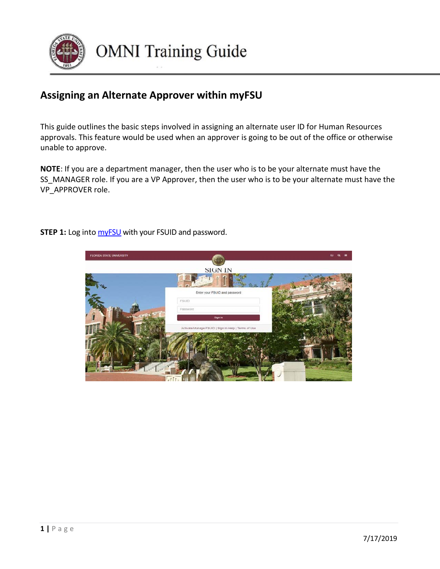

## **Assigning an Alternate Approver within myFSU**

This guide outlines the basic steps involved in assigning an alternate user ID for Human Resources approvals. This feature would be used when an approver is going to be out of the office or otherwise unable to approve.

**NOTE**: If you are a department manager, then the user who is to be your alternate must have the SS MANAGER role. If you are a VP Approver, then the user who is to be your alternate must have the VP\_APPROVER role.

> FLORIDA STATE UNIVERSITY **SIGN IN**

**STEP 1:** Log into **myFSU** with your FSUID and password.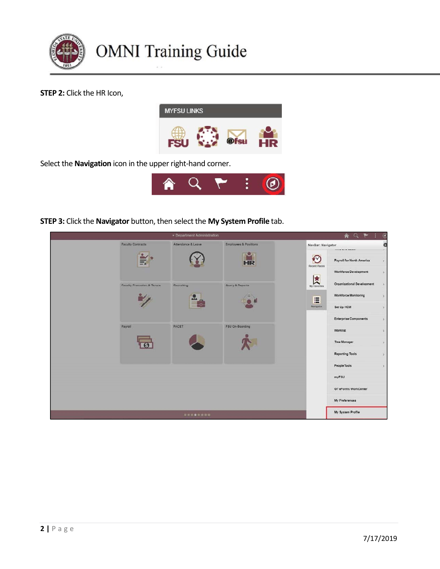

**STEP 2:** Click the HR Icon,



Select the **Navigation** icon in the upper right-hand corner.



**STEP 3:** Click the **Navigator** button, then select the **My System Profile** tab.

|                                       | · Department Administration |                                  |                    | AQP                               | $\circledcirc$                                                                                                                                                  |
|---------------------------------------|-----------------------------|----------------------------------|--------------------|-----------------------------------|-----------------------------------------------------------------------------------------------------------------------------------------------------------------|
| <b>Faculty Contracts</b>              | Attendance & Leave          | <b>Employees &amp; Positions</b> | NavBar: Navigator  | 100X 80X 900X 91                  | ö<br>$\mathcal{F}$                                                                                                                                              |
|                                       |                             | HR                               | €<br>Recent Places | Payroll for North America         | $\backslash$                                                                                                                                                    |
|                                       |                             |                                  | 【文                 | Workforce Development             | $\rightarrow$                                                                                                                                                   |
| <b>Faculty Promotion &amp; Tenure</b> | Recruiting                  | Query & Reports                  | My Favorites       | <b>Organizational Development</b> | $\,$                                                                                                                                                            |
|                                       | Ě                           |                                  | 這                  | Workforce Monitoring              | $\,$                                                                                                                                                            |
|                                       |                             |                                  | Navigatie          | Set Up HCM                        | $\gamma$                                                                                                                                                        |
|                                       |                             |                                  |                    | <b>Enterprise Components</b>      | $\rightarrow$                                                                                                                                                   |
| Payroll                               | <b>FACET</b>                | <b>FSU On-Boarding</b>           |                    | Worklist                          | $\lambda$                                                                                                                                                       |
|                                       |                             |                                  |                    | <b>Tree Manager</b>               | $\alpha$                                                                                                                                                        |
|                                       |                             |                                  |                    | <b>Reporting Tools</b>            | $\mathcal{F}_{\mathcal{F}}^{\mathcal{F}}(\mathcal{F})=\mathcal{F}_{\mathcal{F}}^{\mathcal{F}}(\mathcal{F})\mathcal{F}_{\mathcal{F}}^{\mathcal{F}}(\mathcal{F})$ |
|                                       |                             |                                  |                    | People Tools                      | $\mathcal{Y}$                                                                                                                                                   |
|                                       |                             |                                  |                    | myFSU                             |                                                                                                                                                                 |
|                                       |                             |                                  |                    | <b>GT eForms WorkCenter</b>       |                                                                                                                                                                 |
|                                       |                             |                                  |                    | My Preferences                    |                                                                                                                                                                 |
|                                       |                             |                                  |                    | My System Profile                 |                                                                                                                                                                 |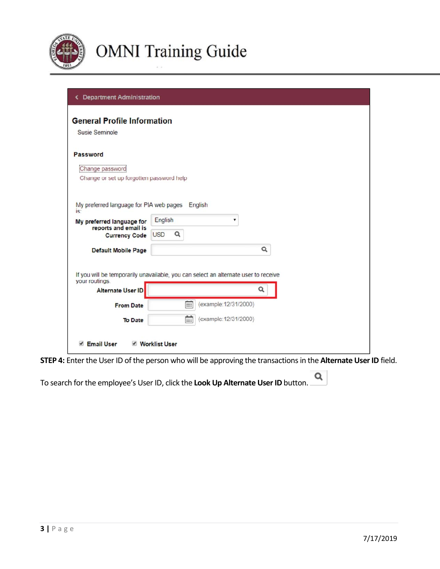

| <b>General Profile Information</b>             |                 |                                                                                     |
|------------------------------------------------|-----------------|-------------------------------------------------------------------------------------|
| <b>Susie Seminole</b>                          |                 |                                                                                     |
| Password                                       |                 |                                                                                     |
| Change password                                |                 |                                                                                     |
| Change or set up forgotten password help       |                 |                                                                                     |
|                                                |                 |                                                                                     |
| My preferred language for PIA web pages<br>is: |                 | English                                                                             |
| My preferred language for                      | English         |                                                                                     |
| reports and email is<br><b>Currency Code</b>   | Q<br><b>USD</b> |                                                                                     |
| <b>Default Mobile Page</b>                     |                 | $\alpha$                                                                            |
|                                                |                 |                                                                                     |
|                                                |                 |                                                                                     |
| your routings.                                 |                 | If you will be temporarily unavailable, you can select an alternate user to receive |
| Alternate User ID                              |                 | Q                                                                                   |
| <b>From Date</b>                               | m               | (example: 12/31/2000)                                                               |

**STEP 4:** Enter the User ID of the person who will be approving the transactions in the **Alternate User ID** field.

Q To search for the employee's User ID, click the **Look Up Alternate User ID** button.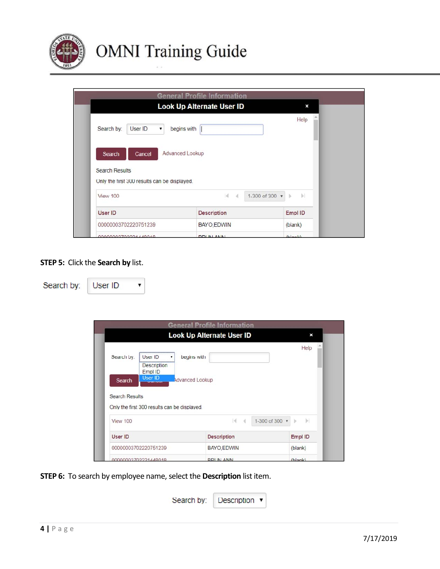

|                                                                                           | <b>General Profile Information</b> |                          |
|-------------------------------------------------------------------------------------------|------------------------------------|--------------------------|
|                                                                                           | <b>Look Up Alternate User ID</b>   | ×                        |
| User ID<br>Search by:                                                                     | begins with                        | Help                     |
| Cancel<br>Search<br><b>Search Results</b><br>Only the first 300 results can be displayed. | Advanced Lookup                    |                          |
| <b>View 100</b>                                                                           | $\mathbb{R}$<br>$\mathcal{A}$      | 1-300 of 300 v   b<br> p |
| User ID                                                                                   | <b>Description</b>                 | Empl ID                  |
| 00000003702220751239                                                                      | BAYO, EDWIN                        | (blank)                  |
| 00000002702224440040                                                                      | <b>DDI IN ANIMA</b>                | (h anh)                  |

## **STEP 5:** Click the **Search by** list.

 $\pmb{\mathrm{v}}$ 

Search by: User ID

|                                              |                                              | <b>Look Up Alternate User ID</b> | ×                           |
|----------------------------------------------|----------------------------------------------|----------------------------------|-----------------------------|
| Search by:                                   | User ID                                      | begins with                      | Help                        |
|                                              | <b>Description</b><br>Empl ID                |                                  |                             |
| Search                                       | <b>User ID</b>                               | Advanced Lookup                  |                             |
|                                              |                                              |                                  |                             |
|                                              | Only the first 300 results can be displayed. |                                  |                             |
|                                              |                                              | $ 4 - 4$                         | $ + $<br>1-300 of 300 v   } |
|                                              |                                              | <b>Description</b>               | Empl ID                     |
| <b>Search Results</b><br>View 100<br>User ID | 00000003702220751239                         | BAYO, EDWIN                      | (blank)                     |

**STEP 6:** To search by employee name, select the **Description** list item.

| Search by:   Description v |  |
|----------------------------|--|
|----------------------------|--|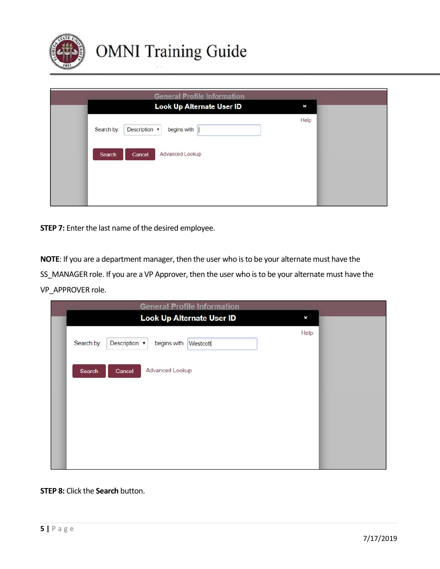

| <b>General Profile Information</b>         |      |
|--------------------------------------------|------|
| Look Up Alternate User ID                  | ×    |
| Description v<br>begins with<br>Search by: | Help |
| Advanced Lookup<br>Cancel<br>Search        |      |
|                                            |      |
|                                            |      |

**STEP 7:** Enter the last name of the desired employee.

**NOTE**: If you are a department manager, then the user who is to be your alternate must have the SS\_MANAGER role. If you are a VP Approver, then the user who is to be your alternate must have the VP\_APPROVER role.

| <b>General Profile Information</b>                               |      |  |
|------------------------------------------------------------------|------|--|
| Look Up Alternate User ID                                        | ×    |  |
| Description $\sqrt{\ }$<br>Search by:<br>begins with<br>Westcott | Help |  |
| Advanced Lookup<br>Search<br>Cancel                              |      |  |
|                                                                  |      |  |
|                                                                  |      |  |
|                                                                  |      |  |

## **STEP 8:** Click the **Search** button.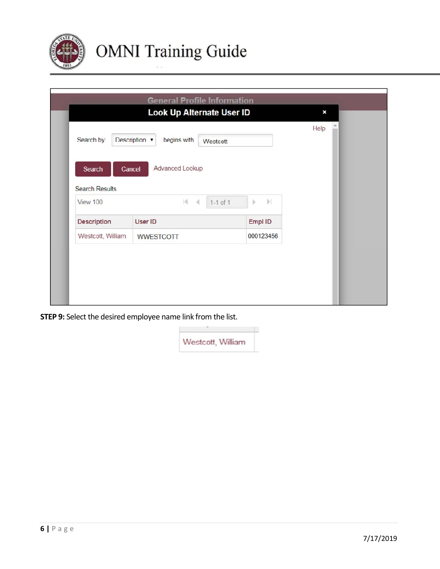

|                                             | <b>General Profile Information</b><br><b>Look Up Alternate User ID</b> |                                          | ×    |
|---------------------------------------------|------------------------------------------------------------------------|------------------------------------------|------|
| Search by:                                  | Description v<br>begins with<br>Westcott                               |                                          | Help |
| Search<br><b>Search Results</b><br>View 100 | Advanced Lookup<br>Cancel<br>$ 4 - 4 $<br>$1 - 1$ of $1$               | $\left\vert \mathbf{r}\right\vert$<br>ÿ. |      |
| <b>Description</b>                          | User ID                                                                | Empl ID                                  |      |
|                                             |                                                                        | 000123456                                |      |

**STEP 9:** Select the desired employee name link from the list.

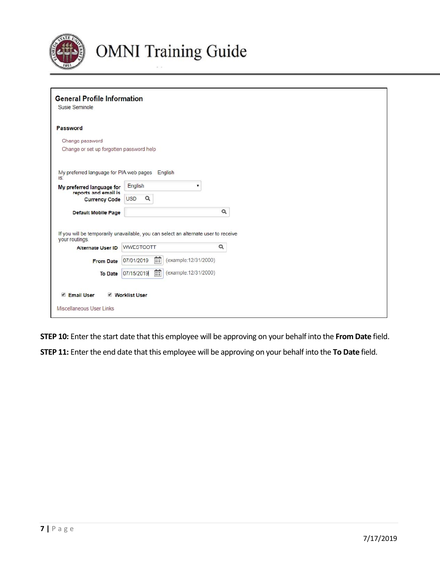

| Password                                                                                              |                        |                       |          |
|-------------------------------------------------------------------------------------------------------|------------------------|-----------------------|----------|
| Change password                                                                                       |                        |                       |          |
| Change or set up forgotten password help                                                              |                        |                       |          |
|                                                                                                       |                        |                       |          |
| My preferred language for PIA web pages English<br>is:                                                |                        |                       |          |
| My preferred language for<br>reports and email is                                                     | English                |                       |          |
| <b>Currency Code</b>                                                                                  | $\alpha$<br><b>USD</b> |                       |          |
| <b>Default Mobile Page</b>                                                                            |                        |                       | $\alpha$ |
|                                                                                                       |                        |                       |          |
| If you will be temporarily unavailable, you can select an alternate user to receive<br>your routings. |                        |                       |          |
|                                                                                                       | WWESTCOTT              |                       | Q        |
| <b>Alternate User ID</b>                                                                              |                        |                       |          |
| <b>From Date</b>                                                                                      | 曲<br>07/01/2019        | (example: 12/31/2000) |          |
| <b>To Date</b>                                                                                        | 曲<br>07/15/2019        | (example: 12/31/2000) |          |

**STEP 10:** Enter the start date that this employee will be approving on your behalf into the **From Date** field.

**STEP 11:** Enter the end date that this employee will be approving on your behalf into the **To Date** field.